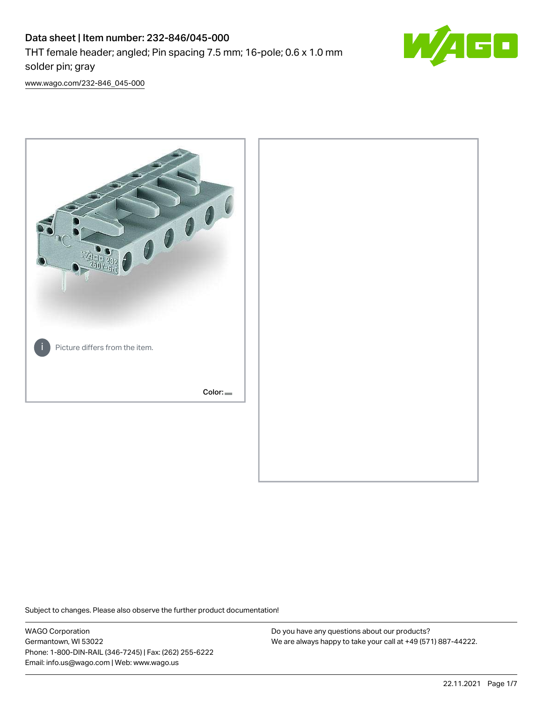# Data sheet | Item number: 232-846/045-000 THT female header; angled; Pin spacing 7.5 mm; 16-pole; 0.6 x 1.0 mm solder pin; gray



[www.wago.com/232-846\\_045-000](http://www.wago.com/232-846_045-000)



Subject to changes. Please also observe the further product documentation!

WAGO Corporation Germantown, WI 53022 Phone: 1-800-DIN-RAIL (346-7245) | Fax: (262) 255-6222 Email: info.us@wago.com | Web: www.wago.us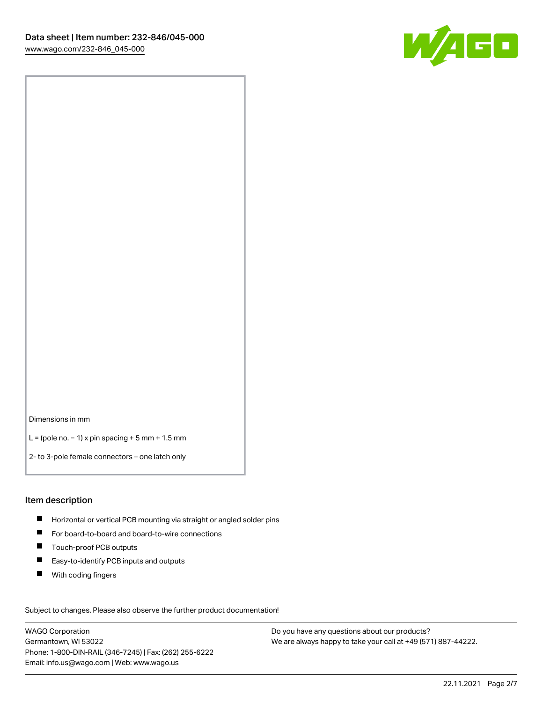

Dimensions in mm

L = (pole no. − 1) x pin spacing + 5 mm + 1.5 mm

2- to 3-pole female connectors – one latch only

#### Item description

- **H** Horizontal or vertical PCB mounting via straight or angled solder pins
- For board-to-board and board-to-wire connections
- Touch-proof PCB outputs  $\blacksquare$
- $\blacksquare$ Easy-to-identify PCB inputs and outputs
- $\blacksquare$ With coding fingers

Subject to changes. Please also observe the further product documentation! Data

WAGO Corporation Germantown, WI 53022 Phone: 1-800-DIN-RAIL (346-7245) | Fax: (262) 255-6222 Email: info.us@wago.com | Web: www.wago.us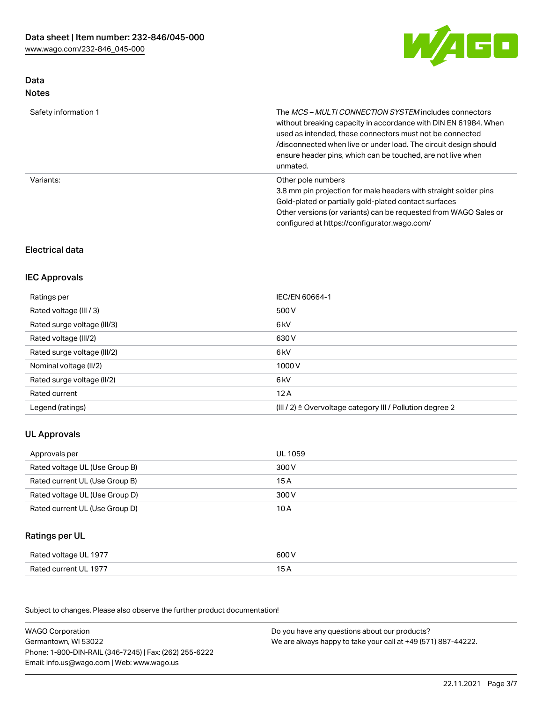

# Data Notes

| Safety information 1 | The <i>MCS – MULTI CONNECTION SYSTEM</i> includes connectors<br>without breaking capacity in accordance with DIN EN 61984. When<br>used as intended, these connectors must not be connected<br>/disconnected when live or under load. The circuit design should<br>ensure header pins, which can be touched, are not live when<br>unmated. |
|----------------------|--------------------------------------------------------------------------------------------------------------------------------------------------------------------------------------------------------------------------------------------------------------------------------------------------------------------------------------------|
| Variants:            | Other pole numbers<br>3.8 mm pin projection for male headers with straight solder pins<br>Gold-plated or partially gold-plated contact surfaces<br>Other versions (or variants) can be requested from WAGO Sales or<br>configured at https://configurator.wago.com/                                                                        |

# Electrical data

## IEC Approvals

| Ratings per                 | IEC/EN 60664-1                                                        |
|-----------------------------|-----------------------------------------------------------------------|
| Rated voltage (III / 3)     | 500 V                                                                 |
| Rated surge voltage (III/3) | 6 kV                                                                  |
| Rated voltage (III/2)       | 630 V                                                                 |
| Rated surge voltage (III/2) | 6 kV                                                                  |
| Nominal voltage (II/2)      | 1000 V                                                                |
| Rated surge voltage (II/2)  | 6 kV                                                                  |
| Rated current               | 12A                                                                   |
| Legend (ratings)            | $(III / 2)$ $\triangle$ Overvoltage category III / Pollution degree 2 |

# UL Approvals

| Approvals per                  | UL 1059 |
|--------------------------------|---------|
| Rated voltage UL (Use Group B) | 300 V   |
| Rated current UL (Use Group B) | 15 A    |
| Rated voltage UL (Use Group D) | 300 V   |
| Rated current UL (Use Group D) | 10 A    |

# Ratings per UL

| Rated voltage UL 1977 | 600 V |
|-----------------------|-------|
| Rated current UL 1977 |       |

Subject to changes. Please also observe the further product documentation!

| <b>WAGO Corporation</b>                                | Do you have any questions about our products?                 |
|--------------------------------------------------------|---------------------------------------------------------------|
| Germantown, WI 53022                                   | We are always happy to take your call at +49 (571) 887-44222. |
| Phone: 1-800-DIN-RAIL (346-7245)   Fax: (262) 255-6222 |                                                               |
| Email: info.us@wago.com   Web: www.wago.us             |                                                               |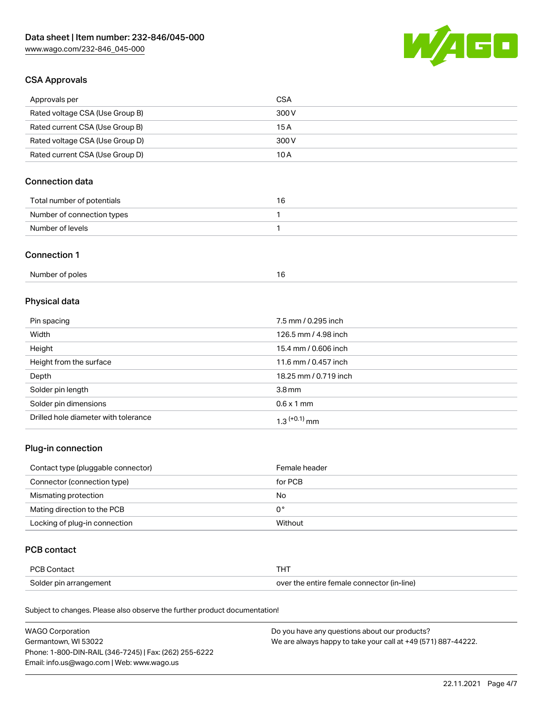

## CSA Approvals

| Approvals per                   | CSA   |
|---------------------------------|-------|
| Rated voltage CSA (Use Group B) | 300 V |
| Rated current CSA (Use Group B) | 15 A  |
| Rated voltage CSA (Use Group D) | 300 V |
| Rated current CSA (Use Group D) | 10 A  |

# Connection data

| Total number of potentials |  |
|----------------------------|--|
| Number of connection types |  |
| Number of levels           |  |

#### Connection 1

| Number of poles |  |
|-----------------|--|
|-----------------|--|

# Physical data

| Pin spacing                          | 7.5 mm / 0.295 inch        |
|--------------------------------------|----------------------------|
| Width                                | 126.5 mm / 4.98 inch       |
| Height                               | 15.4 mm / 0.606 inch       |
| Height from the surface              | 11.6 mm / 0.457 inch       |
| Depth                                | 18.25 mm / 0.719 inch      |
| Solder pin length                    | 3.8 <sub>mm</sub>          |
| Solder pin dimensions                | $0.6 \times 1$ mm          |
| Drilled hole diameter with tolerance | $1.3$ <sup>(+0.1)</sup> mm |

# Plug-in connection

| Contact type (pluggable connector) | Female header |
|------------------------------------|---------------|
| Connector (connection type)        | for PCB       |
| Mismating protection               | No            |
| Mating direction to the PCB        | 0°            |
| Locking of plug-in connection      | Without       |

## PCB contact

| PCB Contact            | тнт                                        |
|------------------------|--------------------------------------------|
| Solder pin arrangement | over the entire female connector (in-line) |

Subject to changes. Please also observe the further product documentation!

| <b>WAGO Corporation</b>                                | Do you have any questions about our products?                 |
|--------------------------------------------------------|---------------------------------------------------------------|
| Germantown, WI 53022                                   | We are always happy to take your call at +49 (571) 887-44222. |
| Phone: 1-800-DIN-RAIL (346-7245)   Fax: (262) 255-6222 |                                                               |
| Email: info.us@wago.com   Web: www.wago.us             |                                                               |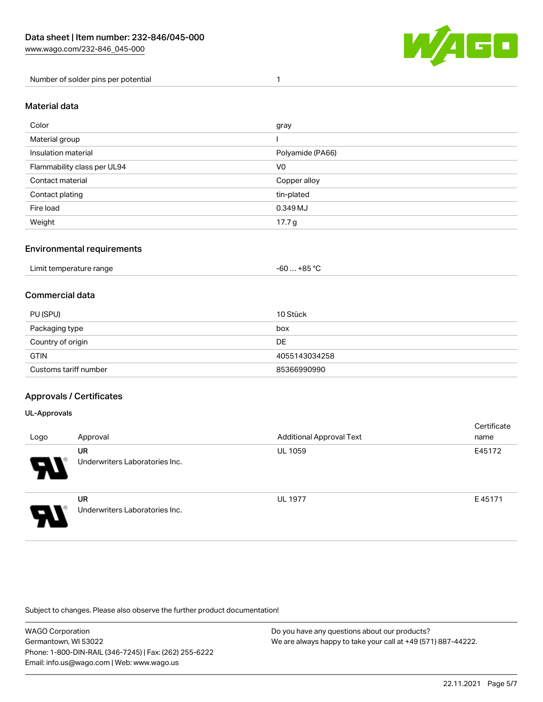

Number of solder pins per potential 1

## Material data

| Color                       | gray              |
|-----------------------------|-------------------|
| Material group              |                   |
| Insulation material         | Polyamide (PA66)  |
| Flammability class per UL94 | V0                |
| Contact material            | Copper alloy      |
| Contact plating             | tin-plated        |
| Fire load                   | 0.349 MJ          |
| Weight                      | 17.7 <sub>g</sub> |

## Environmental requirements

| Limit temperature range<br>. | . +85 °ົ<br>cn.<br>-ou |  |
|------------------------------|------------------------|--|
|------------------------------|------------------------|--|

## Commercial data

| PU (SPU)              | 10 Stück      |
|-----------------------|---------------|
| Packaging type        | box           |
| Country of origin     | DE            |
| <b>GTIN</b>           | 4055143034258 |
| Customs tariff number | 85366990990   |

## Approvals / Certificates

#### UL-Approvals

 $\mathbf{A}$ 

| Logo | Approval                                    | <b>Additional Approval Text</b> | Certificate<br>name |
|------|---------------------------------------------|---------------------------------|---------------------|
| Р.   | <b>UR</b><br>Underwriters Laboratories Inc. | <b>UL 1059</b>                  | E45172              |
| J    | <b>UR</b><br>Underwriters Laboratories Inc. | <b>UL 1977</b>                  | E45171              |

Subject to changes. Please also observe the further product documentation!

| WAGO Corporation                                       | Do you have any questions about our products?                 |
|--------------------------------------------------------|---------------------------------------------------------------|
| Germantown. WI 53022                                   | We are always happy to take your call at +49 (571) 887-44222. |
| Phone: 1-800-DIN-RAIL (346-7245)   Fax: (262) 255-6222 |                                                               |
| Email: info.us@wago.com   Web: www.wago.us             |                                                               |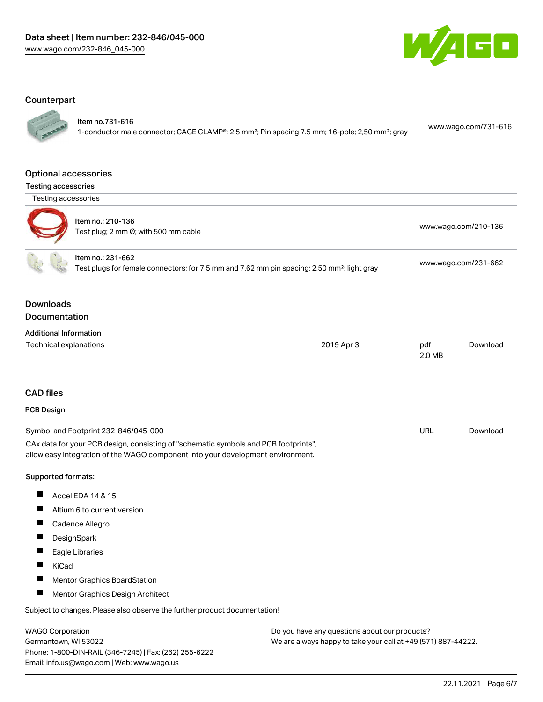

#### **Counterpart**

Item no.731-616

1-conductor male connector; CAGE CLAMP®; 2.5 mm²; Pin spacing 7.5 mm; 16-pole; 2,50 mm²; gray [www.wago.com/731-616](https://www.wago.com/731-616)

#### Optional accessories

Testing accessories



| $50.194$ assessed. |                                                           |                      |
|--------------------|-----------------------------------------------------------|----------------------|
|                    | Item no.: 210-136<br>Test plug; 2 mm Ø; with 500 mm cable | www.wago.com/210-136 |
|                    | Item no.: 231-662                                         |                      |

Test plugs for female connectors; for 7.5 mm and 7.62 mm pin spacing; 2,50 mm²; light gray [www.wago.com/231-662](http://www.wago.com/231-662)

## Downloads **Documentation**

| <b>Additional Information</b> |            |        |          |
|-------------------------------|------------|--------|----------|
| Technical explanations        | 2019 Apr 3 | pdf    | Download |
|                               |            | 2.0 MB |          |

#### CAD files

## PCB Design

| Symbol and Footprint 232-846/045-000                                                | URL | Download |
|-------------------------------------------------------------------------------------|-----|----------|
| CAx data for your PCB design, consisting of "schematic symbols and PCB footprints", |     |          |
| allow easy integration of the WAGO component into your development environment.     |     |          |

#### Supported formats:

- $\blacksquare$ Accel EDA 14 & 15
- $\blacksquare$ Altium 6 to current version
- Cadence Allegro
- $\blacksquare$ **DesignSpark**
- $\blacksquare$ Eagle Libraries
- $\blacksquare$ KiCad
- $\blacksquare$ Mentor Graphics BoardStation
- $\blacksquare$ Mentor Graphics Design Architect

Subject to changes. Please also observe the further product documentation!

WAGO Corporation Germantown, WI 53022 Phone: 1-800-DIN-RAIL (346-7245) | Fax: (262) 255-6222 Email: info.us@wago.com | Web: www.wago.us